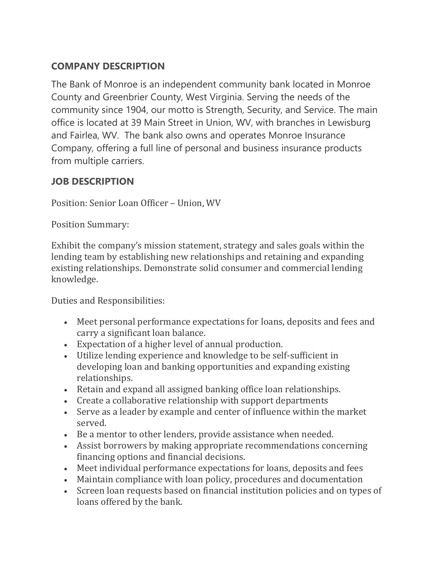## **COMPANY DESCRIPTION**

The Bank of Monroe is an independent community bank located in Monroe County and Greenbrier County, West Virginia. Serving the needs of the community since 1904, our motto is Strength, Security, and Service. The main office is located at 39 Main Street in Union, WV, with branches in Lewisburg and Fairlea, WV. The bank also owns and operates Monroe Insurance Company, offering a full line of personal and business insurance products from multiple carriers.

## **JOB DESCRIPTION**

Position: Senior Loan Officer – Union, WV

Position Summary:

Exhibit the company's mission statement, strategy and sales goals within the lending team by establishing new relationships and retaining and expanding existing relationships. Demonstrate solid consumer and commercial lending knowledge.

Duties and Responsibilities:

- Meet personal performance expectations for loans, deposits and fees and carry a significant loan balance.
- Expectation of a higher level of annual production.
- Utilize lending experience and knowledge to be self-sufficient in developing loan and banking opportunities and expanding existing relationships.
- Retain and expand all assigned banking office loan relationships.
- Create a collaborative relationship with support departments
- Serve as a leader by example and center of influence within the market served.
- Be a mentor to other lenders, provide assistance when needed.
- Assist borrowers by making appropriate recommendations concerning financing options and financial decisions.
- Meet individual performance expectations for loans, deposits and fees
- Maintain compliance with loan policy, procedures and documentation
- Screen loan requests based on financial institution policies and on types of loans offered by the bank.